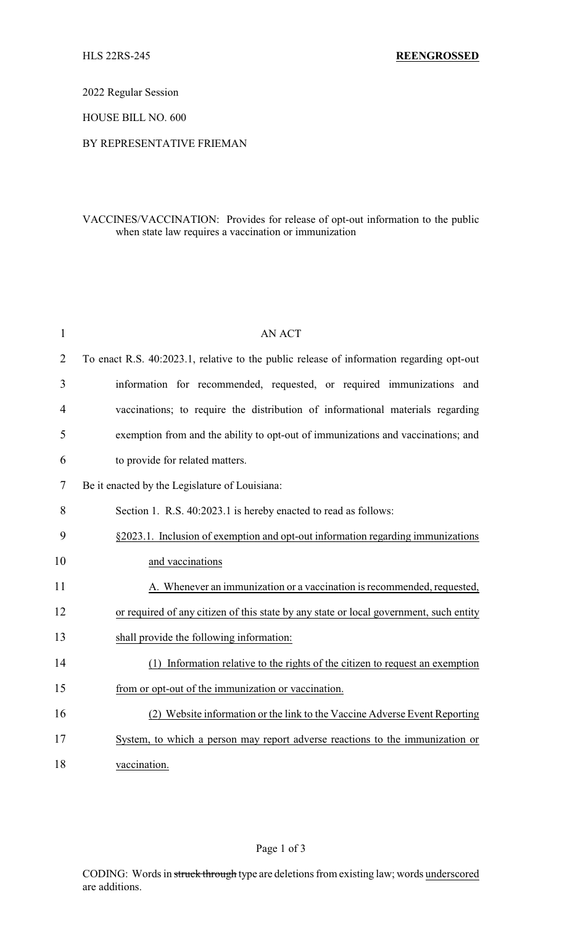2022 Regular Session

HOUSE BILL NO. 600

### BY REPRESENTATIVE FRIEMAN

## VACCINES/VACCINATION: Provides for release of opt-out information to the public when state law requires a vaccination or immunization

| 1  | <b>AN ACT</b>                                                                            |  |  |
|----|------------------------------------------------------------------------------------------|--|--|
| 2  | To enact R.S. 40:2023.1, relative to the public release of information regarding opt-out |  |  |
| 3  | information for recommended, requested, or required immunizations and                    |  |  |
| 4  | vaccinations; to require the distribution of informational materials regarding           |  |  |
| 5  | exemption from and the ability to opt-out of immunizations and vaccinations; and         |  |  |
| 6  | to provide for related matters.                                                          |  |  |
| 7  | Be it enacted by the Legislature of Louisiana:                                           |  |  |
| 8  | Section 1. R.S. 40:2023.1 is hereby enacted to read as follows:                          |  |  |
| 9  | §2023.1. Inclusion of exemption and opt-out information regarding immunizations          |  |  |
| 10 | and vaccinations                                                                         |  |  |
| 11 | A. Whenever an immunization or a vaccination is recommended, requested,                  |  |  |
| 12 | or required of any citizen of this state by any state or local government, such entity   |  |  |
| 13 | shall provide the following information:                                                 |  |  |
| 14 | Information relative to the rights of the citizen to request an exemption<br>(1)         |  |  |
| 15 | from or opt-out of the immunization or vaccination.                                      |  |  |
| 16 | (2) Website information or the link to the Vaccine Adverse Event Reporting               |  |  |
| 17 | System, to which a person may report adverse reactions to the immunization or            |  |  |
| 18 | vaccination.                                                                             |  |  |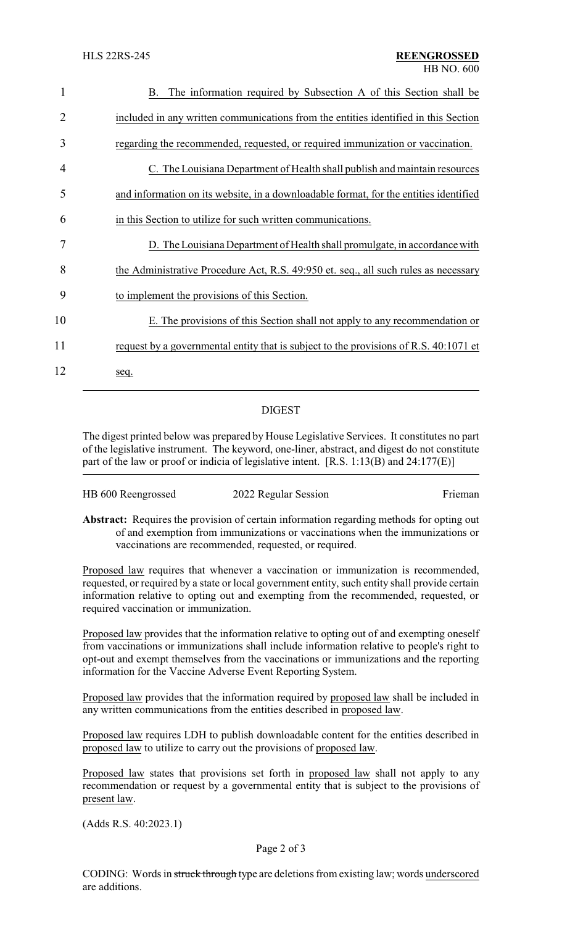| 1  | The information required by Subsection A of this Section shall be<br>В.               |
|----|---------------------------------------------------------------------------------------|
| 2  | included in any written communications from the entities identified in this Section   |
| 3  | regarding the recommended, requested, or required immunization or vaccination.        |
| 4  | C. The Louisiana Department of Health shall publish and maintain resources            |
| 5  | and information on its website, in a downloadable format, for the entities identified |
| 6  | in this Section to utilize for such written communications.                           |
| 7  | D. The Louisiana Department of Health shall promulgate, in accordance with            |
| 8  | the Administrative Procedure Act, R.S. 49:950 et. seq., all such rules as necessary   |
| 9  | to implement the provisions of this Section.                                          |
| 10 | E. The provisions of this Section shall not apply to any recommendation or            |
| 11 | request by a governmental entity that is subject to the provisions of R.S. 40:1071 et |
| 12 | seq.                                                                                  |
|    |                                                                                       |

# DIGEST

The digest printed below was prepared by House Legislative Services. It constitutes no part of the legislative instrument. The keyword, one-liner, abstract, and digest do not constitute part of the law or proof or indicia of legislative intent. [R.S. 1:13(B) and 24:177(E)]

| HB 600 Reengrossed | 2022 Regular Session | Frieman |
|--------------------|----------------------|---------|
|--------------------|----------------------|---------|

**Abstract:** Requires the provision of certain information regarding methods for opting out of and exemption from immunizations or vaccinations when the immunizations or vaccinations are recommended, requested, or required.

Proposed law requires that whenever a vaccination or immunization is recommended, requested, or required by a state or local government entity, such entity shall provide certain information relative to opting out and exempting from the recommended, requested, or required vaccination or immunization.

Proposed law provides that the information relative to opting out of and exempting oneself from vaccinations or immunizations shall include information relative to people's right to opt-out and exempt themselves from the vaccinations or immunizations and the reporting information for the Vaccine Adverse Event Reporting System.

Proposed law provides that the information required by proposed law shall be included in any written communications from the entities described in proposed law.

Proposed law requires LDH to publish downloadable content for the entities described in proposed law to utilize to carry out the provisions of proposed law.

Proposed law states that provisions set forth in proposed law shall not apply to any recommendation or request by a governmental entity that is subject to the provisions of present law.

(Adds R.S. 40:2023.1)